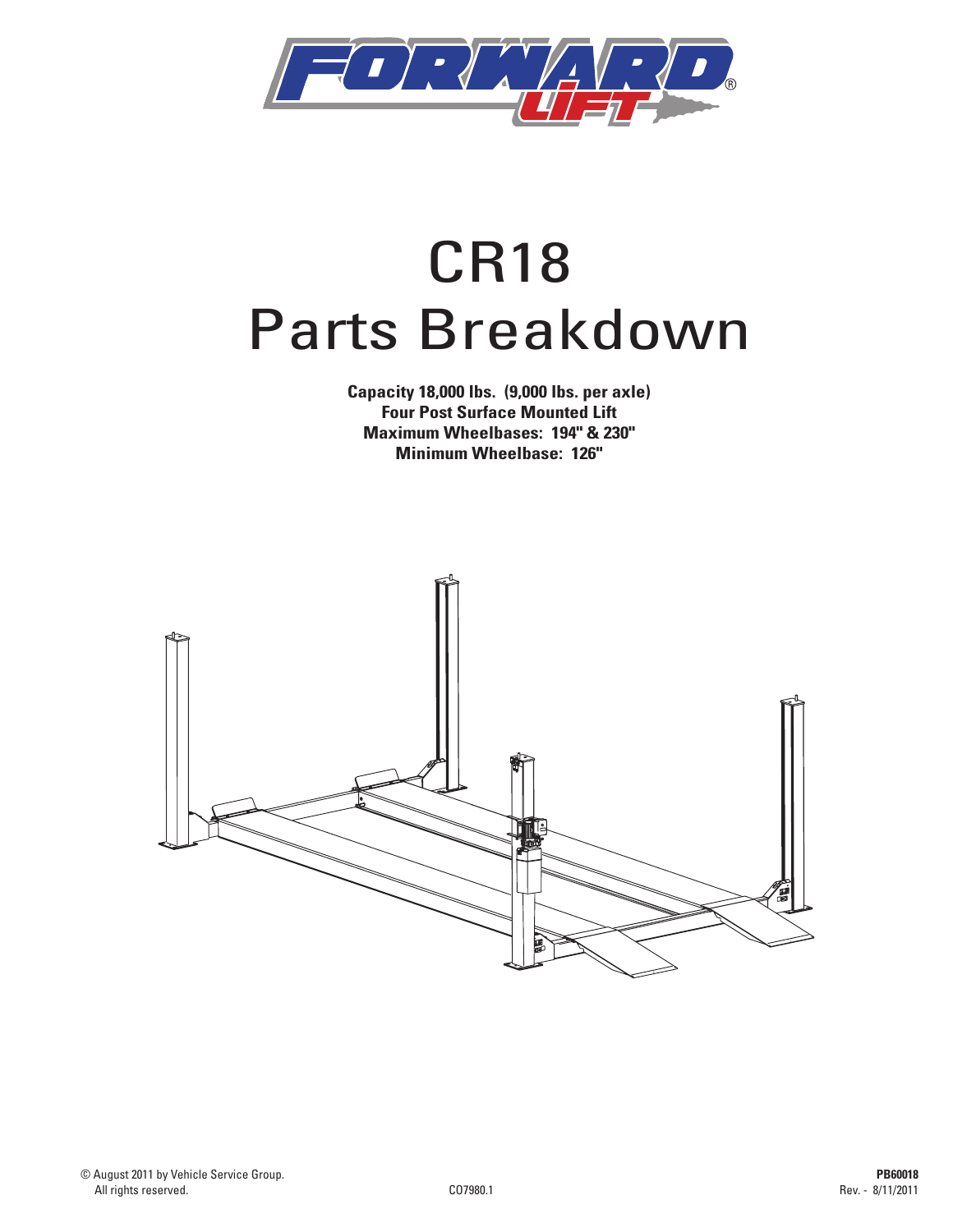

## CR18 Parts Breakdown

**Capacity 18,000 lbs. (9,000 lbs. per axle) Four Post Surface Mounted Lift Maximum Wheelbases: 194" & 230" Minimum Wheelbase: 126"**

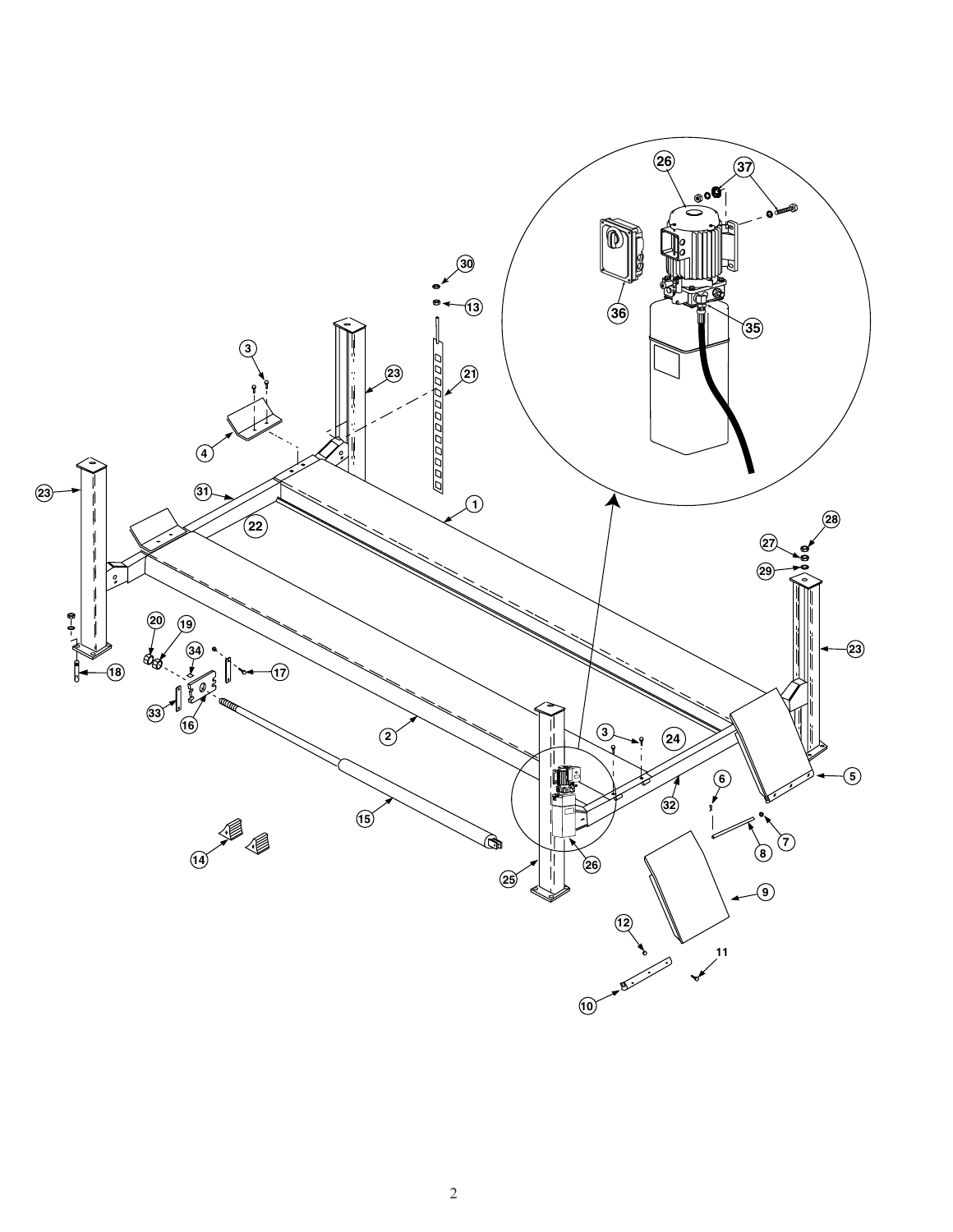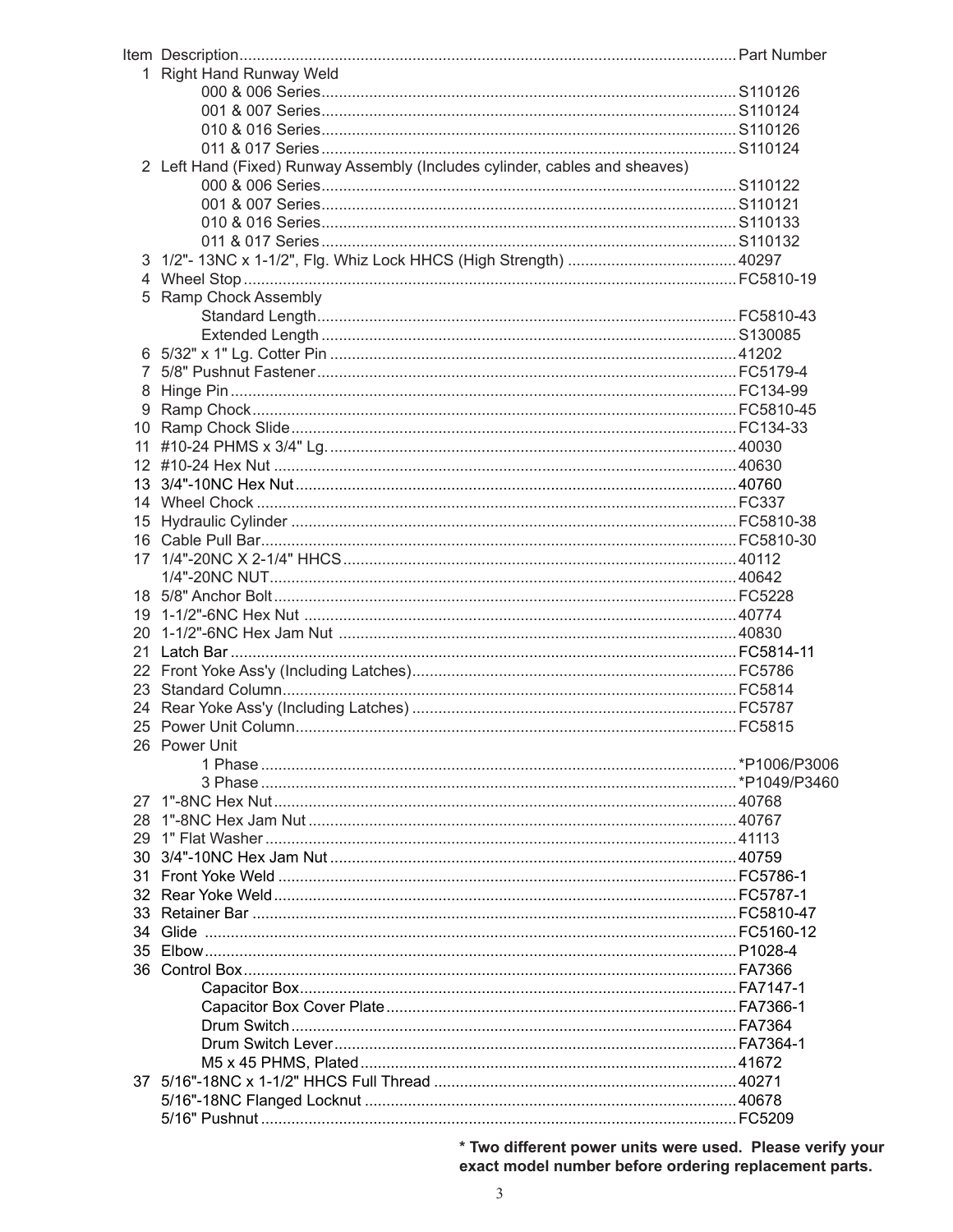|    | 1 Right Hand Runway Weld                                                                                                                                                                                                       |  |
|----|--------------------------------------------------------------------------------------------------------------------------------------------------------------------------------------------------------------------------------|--|
|    |                                                                                                                                                                                                                                |  |
|    |                                                                                                                                                                                                                                |  |
|    |                                                                                                                                                                                                                                |  |
|    |                                                                                                                                                                                                                                |  |
|    | 2 Left Hand (Fixed) Runway Assembly (Includes cylinder, cables and sheaves)                                                                                                                                                    |  |
|    |                                                                                                                                                                                                                                |  |
|    |                                                                                                                                                                                                                                |  |
|    |                                                                                                                                                                                                                                |  |
|    |                                                                                                                                                                                                                                |  |
|    |                                                                                                                                                                                                                                |  |
|    |                                                                                                                                                                                                                                |  |
|    |                                                                                                                                                                                                                                |  |
|    | 5 Ramp Chock Assembly                                                                                                                                                                                                          |  |
|    |                                                                                                                                                                                                                                |  |
|    |                                                                                                                                                                                                                                |  |
|    |                                                                                                                                                                                                                                |  |
|    |                                                                                                                                                                                                                                |  |
| 8  |                                                                                                                                                                                                                                |  |
|    |                                                                                                                                                                                                                                |  |
|    |                                                                                                                                                                                                                                |  |
| 11 |                                                                                                                                                                                                                                |  |
|    |                                                                                                                                                                                                                                |  |
|    |                                                                                                                                                                                                                                |  |
|    |                                                                                                                                                                                                                                |  |
|    |                                                                                                                                                                                                                                |  |
|    |                                                                                                                                                                                                                                |  |
|    |                                                                                                                                                                                                                                |  |
|    |                                                                                                                                                                                                                                |  |
|    |                                                                                                                                                                                                                                |  |
|    |                                                                                                                                                                                                                                |  |
|    |                                                                                                                                                                                                                                |  |
|    |                                                                                                                                                                                                                                |  |
|    |                                                                                                                                                                                                                                |  |
|    |                                                                                                                                                                                                                                |  |
|    |                                                                                                                                                                                                                                |  |
|    |                                                                                                                                                                                                                                |  |
|    |                                                                                                                                                                                                                                |  |
|    | 26 Power Unit and the contract of the contract of the contract of the contract of the contract of the contract of the contract of the contract of the contract of the contract of the contract of the contract of the contract |  |
|    |                                                                                                                                                                                                                                |  |
|    |                                                                                                                                                                                                                                |  |
|    |                                                                                                                                                                                                                                |  |
|    |                                                                                                                                                                                                                                |  |
|    |                                                                                                                                                                                                                                |  |
|    |                                                                                                                                                                                                                                |  |
|    |                                                                                                                                                                                                                                |  |
|    |                                                                                                                                                                                                                                |  |
|    |                                                                                                                                                                                                                                |  |
|    |                                                                                                                                                                                                                                |  |
|    |                                                                                                                                                                                                                                |  |
|    |                                                                                                                                                                                                                                |  |
|    |                                                                                                                                                                                                                                |  |
|    |                                                                                                                                                                                                                                |  |
|    |                                                                                                                                                                                                                                |  |
|    |                                                                                                                                                                                                                                |  |
|    |                                                                                                                                                                                                                                |  |
|    |                                                                                                                                                                                                                                |  |
|    |                                                                                                                                                                                                                                |  |
|    |                                                                                                                                                                                                                                |  |
|    |                                                                                                                                                                                                                                |  |

\* Two different power units were used. Please verify your<br>exact model number before ordering replacement parts.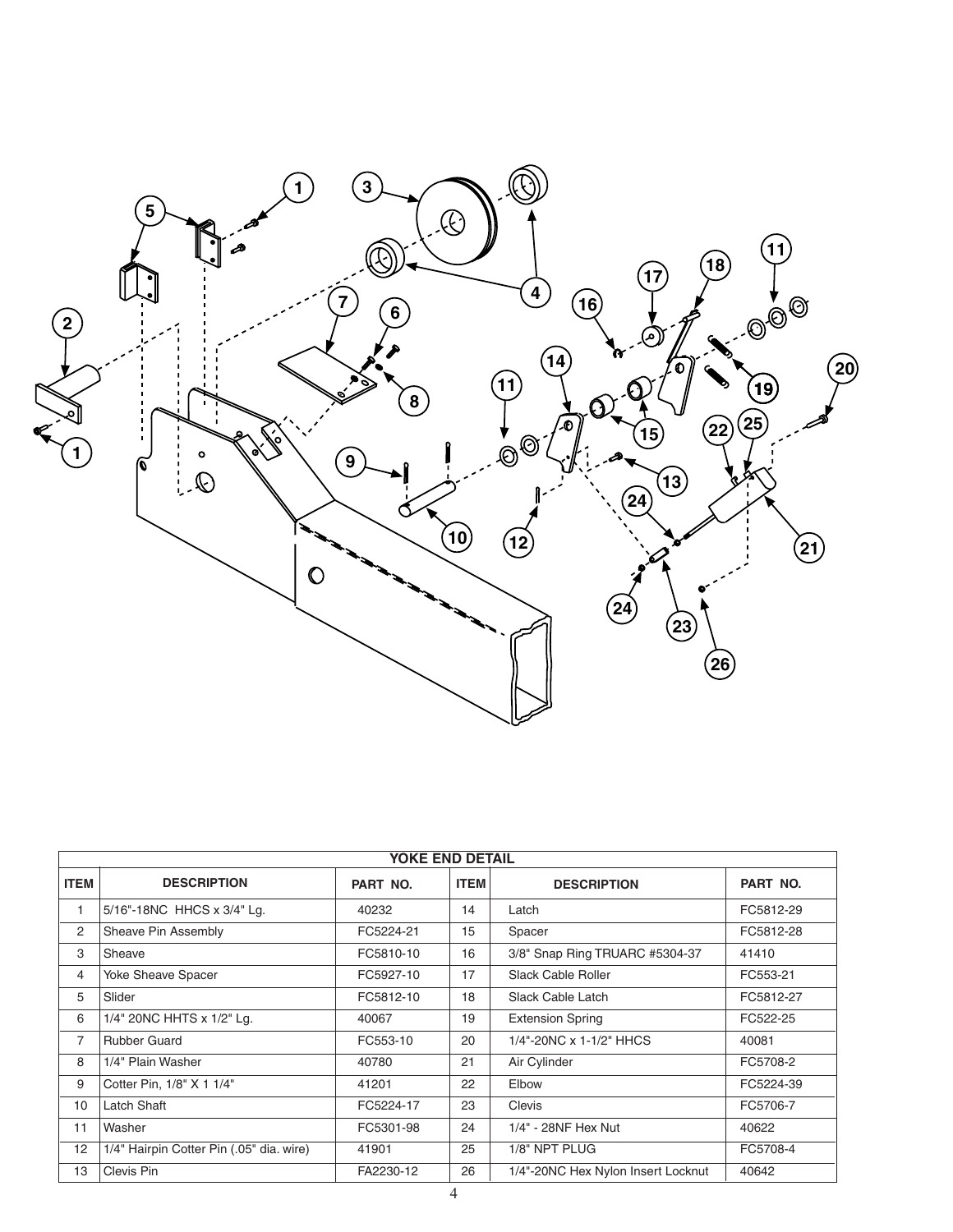

| <b>YOKE END DETAIL</b> |                                          |           |             |                                    |           |
|------------------------|------------------------------------------|-----------|-------------|------------------------------------|-----------|
| <b>ITEM</b>            | <b>DESCRIPTION</b>                       | PART NO.  | <b>ITEM</b> | <b>DESCRIPTION</b>                 | PART NO.  |
| 1                      | 5/16"-18NC HHCS x 3/4" Lg.               | 40232     | 14          | Latch                              | FC5812-29 |
| 2                      | Sheave Pin Assembly                      | FC5224-21 | 15          | Spacer                             | FC5812-28 |
| 3                      | Sheave                                   | FC5810-10 | 16          | 3/8" Snap Ring TRUARC #5304-37     | 41410     |
| 4                      | Yoke Sheave Spacer                       | FC5927-10 | 17          | Slack Cable Roller                 | FC553-21  |
| 5                      | Slider                                   | FC5812-10 | 18          | Slack Cable Latch                  | FC5812-27 |
| 6                      | 1/4" 20NC HHTS x 1/2" Lg.                | 40067     | 19          | <b>Extension Spring</b>            | FC522-25  |
| 7                      | <b>Rubber Guard</b>                      | FC553-10  | 20          | 1/4"-20NC x 1-1/2" HHCS            | 40081     |
| 8                      | 1/4" Plain Washer                        | 40780     | 21          | Air Cylinder                       | FC5708-2  |
| 9                      | Cotter Pin, 1/8" X 1 1/4"                | 41201     | 22          | Elbow                              | FC5224-39 |
| 10                     | <b>Latch Shaft</b>                       | FC5224-17 | 23          | <b>Clevis</b>                      | FC5706-7  |
| 11                     | Washer                                   | FC5301-98 | 24          | 1/4" - 28NF Hex Nut                | 40622     |
| 12                     | 1/4" Hairpin Cotter Pin (.05" dia. wire) | 41901     | 25          | 1/8" NPT PLUG                      | FC5708-4  |
| 13                     | Clevis Pin                               | FA2230-12 | 26          | 1/4"-20NC Hex Nylon Insert Locknut | 40642     |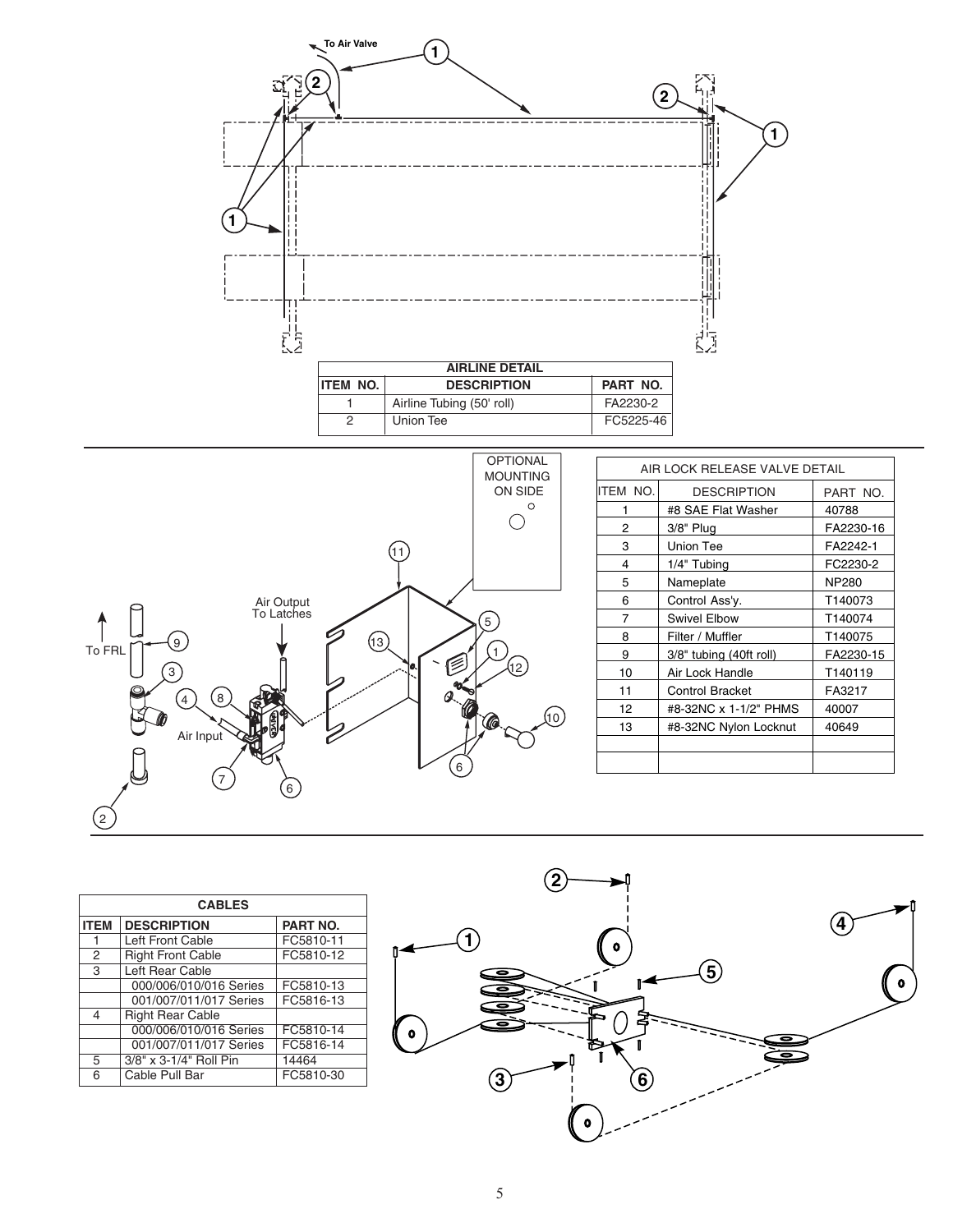



| AIR LOCK RELEASE VALVE DETAIL |                         |           |  |
|-------------------------------|-------------------------|-----------|--|
| ITEM NO.                      | <b>DESCRIPTION</b>      | PART NO.  |  |
| 1                             | #8 SAE Flat Washer      | 40788     |  |
| 2                             | $3/8"$ Plug             | FA2230-16 |  |
| 3                             | Union Tee               | FA2242-1  |  |
| 4                             | 1/4" Tubing             | FC2230-2  |  |
| 5                             | Nameplate               | NP280     |  |
| 6                             | Control Ass'y.          | T140073   |  |
| 7                             | <b>Swivel Elbow</b>     | T140074   |  |
| 8                             | Filter / Muffler        | T140075   |  |
| 9                             | 3/8" tubing (40ft roll) | FA2230-15 |  |
| 10                            | Air Lock Handle         | T140119   |  |
| 11                            | <b>Control Bracket</b>  | FA3217    |  |
| 12                            | #8-32NC x 1-1/2" PHMS   | 40007     |  |
| 13                            | #8-32NC Nylon Locknut   | 40649     |  |
|                               |                         |           |  |
|                               |                         |           |  |

| <b>CABLES</b> |                          |           |  |  |
|---------------|--------------------------|-----------|--|--|
| <b>ITEM</b>   | <b>DESCRIPTION</b>       | PART NO.  |  |  |
| 1             | Left Front Cable         | FC5810-11 |  |  |
| 2             | <b>Right Front Cable</b> | FC5810-12 |  |  |
| 3             | Left Rear Cable          |           |  |  |
|               | 000/006/010/016 Series   | FC5810-13 |  |  |
|               | 001/007/011/017 Series   | FC5816-13 |  |  |
| 4             | <b>Right Rear Cable</b>  |           |  |  |
|               | 000/006/010/016 Series   | FC5810-14 |  |  |
|               | 001/007/011/017 Series   | FC5816-14 |  |  |
| 5             | 3/8" x 3-1/4" Roll Pin   | 14464     |  |  |
| 6             | Cable Pull Bar           | FC5810-30 |  |  |

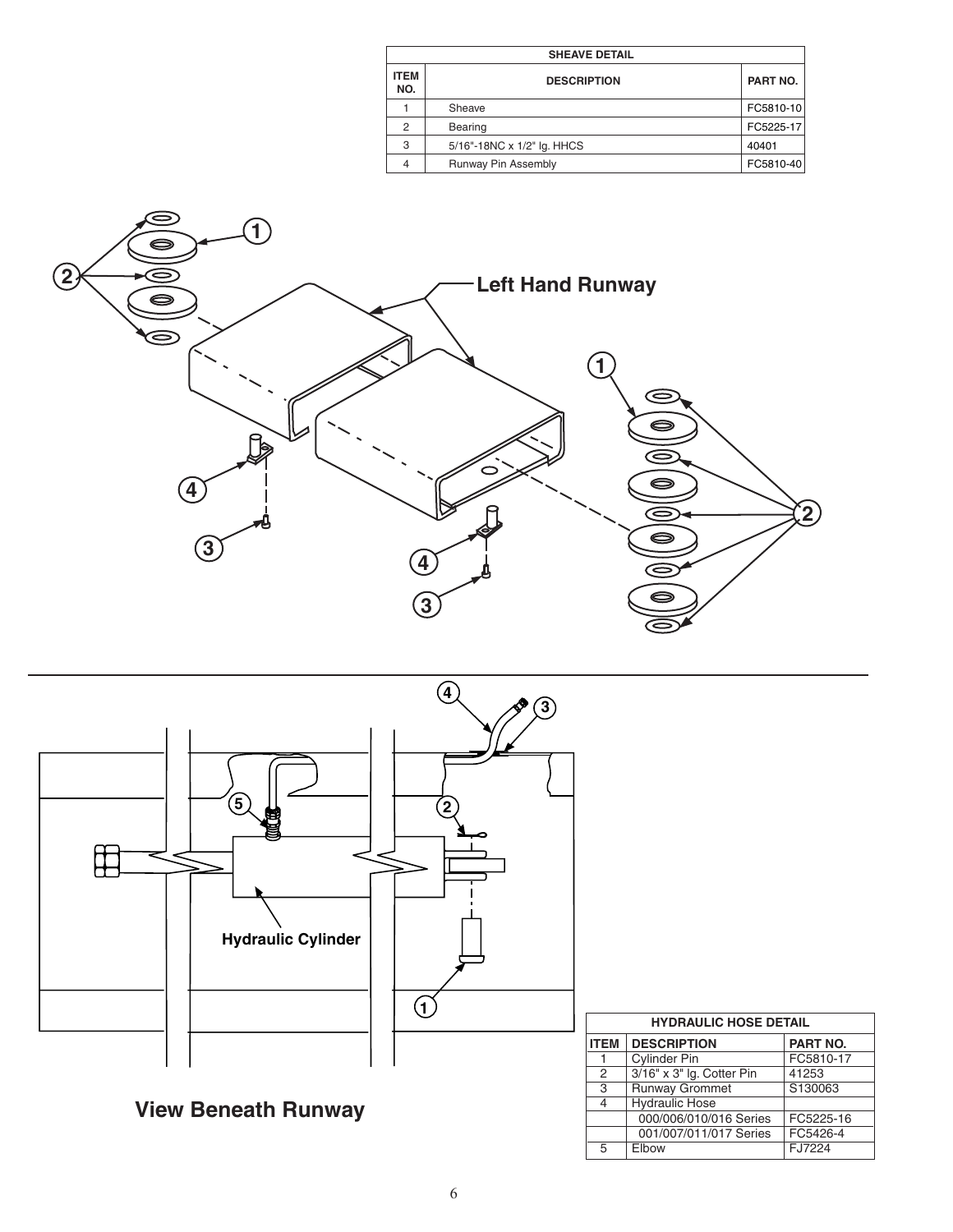| <b>SHEAVE DETAIL</b> |                            |           |  |
|----------------------|----------------------------|-----------|--|
| <b>ITEM</b><br>NO.   | <b>DESCRIPTION</b>         | PART NO.  |  |
|                      | Sheave                     | FC5810-10 |  |
| $\overline{2}$       | Bearing                    | FC5225-17 |  |
| 3                    | 5/16"-18NC x 1/2" lg. HHCS | 40401     |  |
| 4                    | Runway Pin Assembly        | FC5810-40 |  |



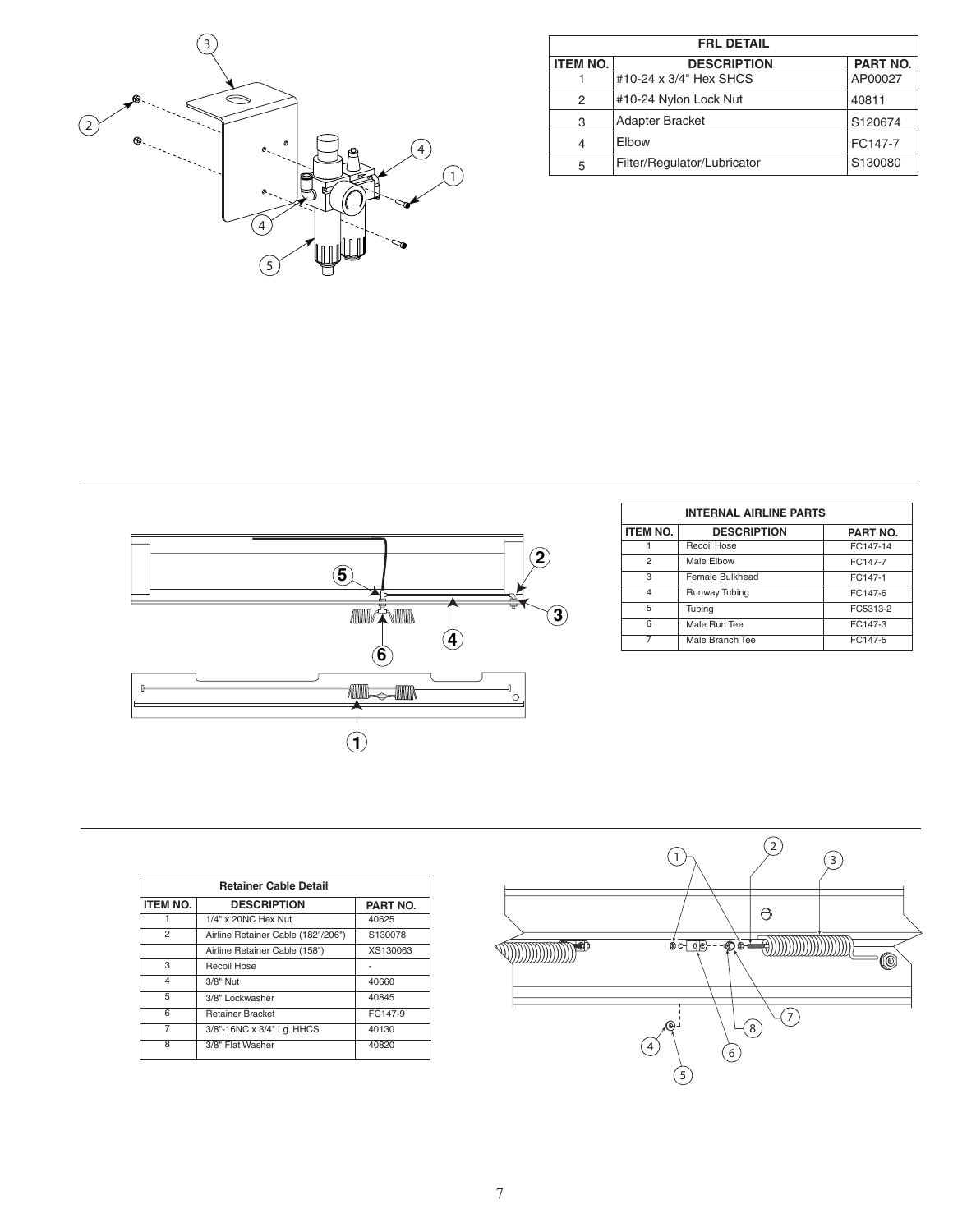

| <b>FRL DETAIL</b> |                             |          |  |  |
|-------------------|-----------------------------|----------|--|--|
| <b>ITEM NO.</b>   | <b>DESCRIPTION</b>          | PART NO. |  |  |
|                   | #10-24 x 3/4" Hex SHCS      | AP00027  |  |  |
| 2                 | #10-24 Nylon Lock Nut       | 40811    |  |  |
| 3                 | <b>Adapter Bracket</b>      | S120674  |  |  |
| 4                 | Elbow                       | FC147-7  |  |  |
| 5                 | Filter/Regulator/Lubricator | S130080  |  |  |



| <b>INTERNAL AIRLINE PARTS</b> |                    |          |  |
|-------------------------------|--------------------|----------|--|
| <b>ITEM NO.</b>               | <b>DESCRIPTION</b> | PART NO. |  |
|                               | Recoil Hose        | FC147-14 |  |
| 2                             | Male Elbow         | FC147-7  |  |
| 3                             | Female Bulkhead    | FC147-1  |  |
| 4                             | Runway Tubing      | FC147-6  |  |
| 5                             | Tubing             | FC5313-2 |  |
| 6                             | Male Run Tee       | FC147-3  |  |
|                               | Male Branch Tee    | FC147-5  |  |

| <b>Retainer Cable Detail</b> |                                    |          |  |  |
|------------------------------|------------------------------------|----------|--|--|
| <b>ITEM NO.</b>              | <b>DESCRIPTION</b>                 | PART NO. |  |  |
|                              | 1/4" x 20NC Hex Nut                | 40625    |  |  |
| $\overline{2}$               | Airline Retainer Cable (182"/206") | S130078  |  |  |
|                              | Airline Retainer Cable (158")      | XS130063 |  |  |
| 3                            | Recoil Hose                        |          |  |  |
| $\overline{4}$               | $3/8"$ Nut                         | 40660    |  |  |
| 5                            | 3/8" Lockwasher                    | 40845    |  |  |
| 6                            | <b>Retainer Bracket</b>            | FC147-9  |  |  |
|                              | 3/8"-16NC x 3/4" Lg. HHCS          | 40130    |  |  |
| 8                            | 3/8" Flat Washer                   | 40820    |  |  |